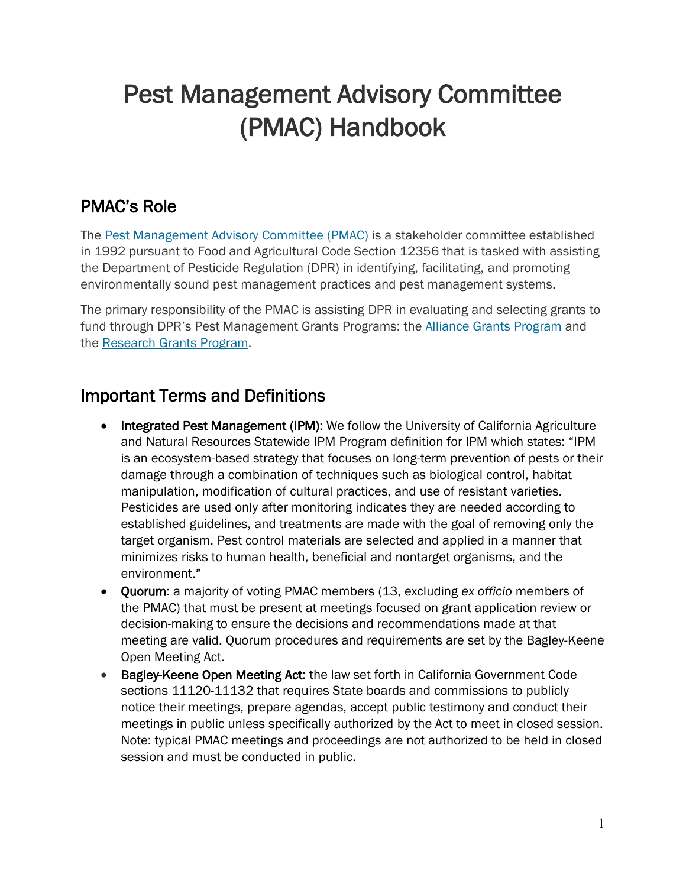# Pest Management Advisory Committee (PMAC) Handbook

# PMAC's Role

 in 1992 pursuant to Food and Agricultural Code Section 12356 that is tasked with assisting the Department of Pesticide Regulation (DPR) in identifying, facilitating, and promoting The [Pest Management Advisory Committee \(PMAC\)](https://www.cdpr.ca.gov/docs/dept/pmac/pmaclink.htm) is a stakeholder committee established environmentally sound pest management practices and pest management systems.

 The primary responsibility of the PMAC is assisting DPR in evaluating and selecting grants to fund through DPR's Pest Management Grants Programs: the **Alliance Grants Program** and the [Research Grants Program.](https://www.cdpr.ca.gov/docs/pestmgt/grants/research/index.htm)

### Important Terms and Definitions

- and Natural Resources Statewide IPM Program definition for IPM which states: "IPM • Integrated Pest Management (IPM): We follow the University of California Agriculture is an ecosystem-based strategy that focuses on long-term prevention of pests or their damage through a combination of techniques such as biological control, habitat manipulation, modification of cultural practices, and use of resistant varieties. Pesticides are used only after monitoring indicates they are needed according to established guidelines, and treatments are made with the goal of removing only the target organism. Pest control materials are selected and applied in a manner that minimizes risks to human health, beneficial and nontarget organisms, and the environment."
- the PMAC) that must be present at meetings focused on grant application review or meeting are valid. Quorum procedures and requirements are set by the Bagley-Keene • Quorum: a majority of voting PMAC members (13, excluding *ex officio* members of decision-making to ensure the decisions and recommendations made at that Open Meeting Act.
- Bagley-Keene Open Meeting Act: the law set forth in California Government Code sections 11120-11132 that requires State boards and commissions to publicly notice their meetings, prepare agendas, accept public testimony and conduct their meetings in public unless specifically authorized by the Act to meet in closed session. Note: typical PMAC meetings and proceedings are not authorized to be held in closed session and must be conducted in public.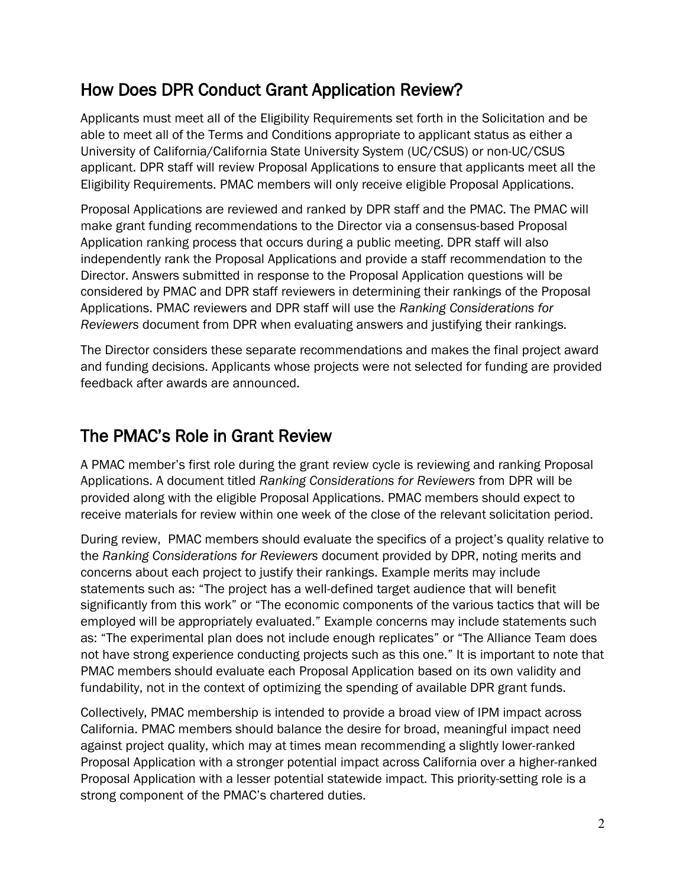# How Does DPR Conduct Grant Application Review?

Applicants must meet all of the Eligibility Requirements set forth in the Solicitation and be able to meet all of the Terms and Conditions appropriate to applicant status as either a University of California/California State University System (UC/CSUS) or non-UC/CSUS applicant. DPR staff will review Proposal Applications to ensure that applicants meet all the Eligibility Requirements. PMAC members will only receive eligible Proposal Applications.

 Applications. PMAC reviewers and DPR staff will use the *Ranking Considerations for*  Proposal Applications are reviewed and ranked by DPR staff and the PMAC. The PMAC will make grant funding recommendations to the Director via a consensus-based Proposal Application ranking process that occurs during a public meeting. DPR staff will also independently rank the Proposal Applications and provide a staff recommendation to the Director. Answers submitted in response to the Proposal Application questions will be considered by PMAC and DPR staff reviewers in determining their rankings of the Proposal *Reviewers* document from DPR when evaluating answers and justifying their rankings.

The Director considers these separate recommendations and makes the final project award and funding decisions. Applicants whose projects were not selected for funding are provided feedback after awards are announced.

#### The PMAC's Role in Grant Review

 Applications. A document titled *Ranking Considerations for Reviewers* from DPR will be A PMAC member's first role during the grant review cycle is reviewing and ranking Proposal provided along with the eligible Proposal Applications. PMAC members should expect to receive materials for review within one week of the close of the relevant solicitation period.

 During review, PMAC members should evaluate the specifics of a project's quality relative to as: "The experimental plan does not include enough replicates" or "The Alliance Team does fundability, not in the context of optimizing the spending of available DPR grant funds. the *Ranking Considerations for Reviewers* document provided by DPR, noting merits and concerns about each project to justify their rankings. Example merits may include statements such as: "The project has a well-defined target audience that will benefit significantly from this work" or "The economic components of the various tactics that will be employed will be appropriately evaluated." Example concerns may include statements such not have strong experience conducting projects such as this one." It is important to note that PMAC members should evaluate each Proposal Application based on its own validity and

fundability, not in the context of optimizing the spending of available DPR grant funds.<br>Collectively, PMAC membership is intended to provide a broad view of IPM impact across California. PMAC members should balance the desire for broad, meaningful impact need against project quality, which may at times mean recommending a slightly lower-ranked Proposal Application with a stronger potential impact across California over a higher-ranked Proposal Application with a lesser potential statewide impact. This priority-setting role is a strong component of the PMAC's chartered duties.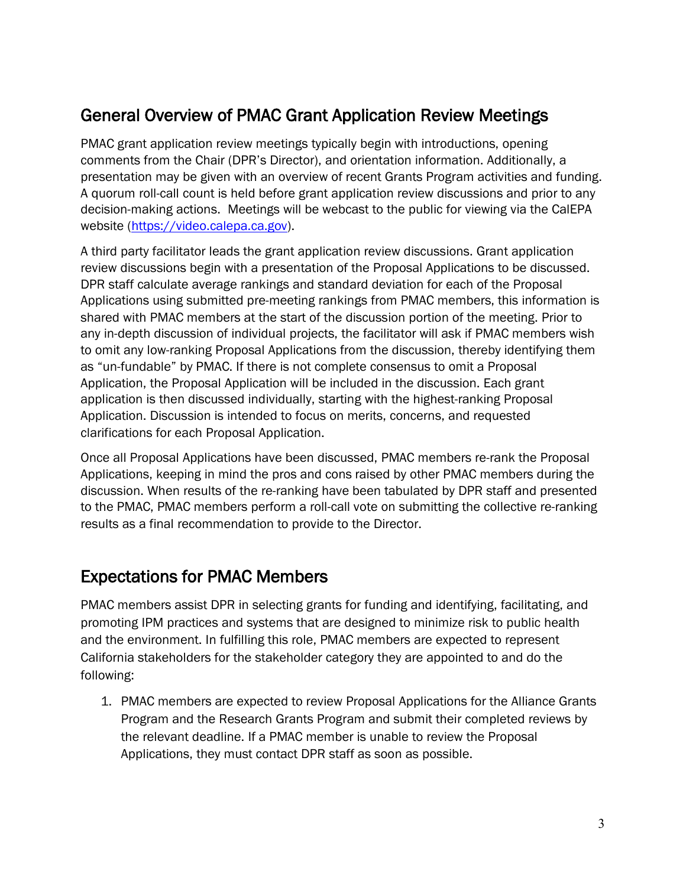# General Overview of PMAC Grant Application Review Meetings

website (https://video.calepa.ca.gov). PMAC grant application review meetings typically begin with introductions, opening comments from the Chair (DPR's Director), and orientation information. Additionally, a presentation may be given with an overview of recent Grants Program activities and funding. A quorum roll-call count is held before grant application review discussions and prior to any decision-making actions. Meetings will be webcast to the public for viewing via the CalEPA

website (<u>https://video.calepa.ca.gov</u>).<br>A third party facilitator leads the grant application review discussions. Grant application review discussions begin with a presentation of the Proposal Applications to be discussed. DPR staff calculate average rankings and standard deviation for each of the Proposal Applications using submitted pre-meeting rankings from PMAC members, this information is shared with PMAC members at the start of the discussion portion of the meeting. Prior to any in-depth discussion of individual projects, the facilitator will ask if PMAC members wish to omit any low-ranking Proposal Applications from the discussion, thereby identifying them as "un-fundable" by PMAC. If there is not complete consensus to omit a Proposal Application, the Proposal Application will be included in the discussion. Each grant application is then discussed individually, starting with the highest-ranking Proposal Application. Discussion is intended to focus on merits, concerns, and requested clarifications for each Proposal Application.

 Applications, keeping in mind the pros and cons raised by other PMAC members during the Once all Proposal Applications have been discussed, PMAC members re-rank the Proposal discussion. When results of the re-ranking have been tabulated by DPR staff and presented to the PMAC, PMAC members perform a roll-call vote on submitting the collective re-ranking results as a final recommendation to provide to the Director.

### Expectations for PMAC Members

 California stakeholders for the stakeholder category they are appointed to and do the PMAC members assist DPR in selecting grants for funding and identifying, facilitating, and promoting IPM practices and systems that are designed to minimize risk to public health and the environment. In fulfilling this role, PMAC members are expected to represent following:

 Applications, they must contact DPR staff as soon as possible. 1. PMAC members are expected to review Proposal Applications for the Alliance Grants Program and the Research Grants Program and submit their completed reviews by the relevant deadline. If a PMAC member is unable to review the Proposal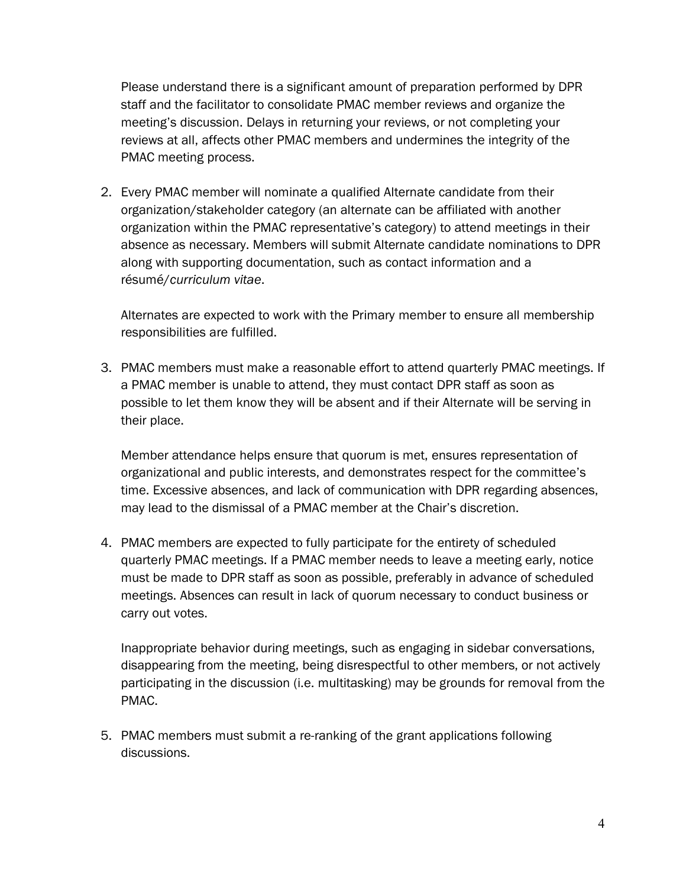PMAC meeting process. Please understand there is a significant amount of preparation performed by DPR staff and the facilitator to consolidate PMAC member reviews and organize the meeting's discussion. Delays in returning your reviews, or not completing your reviews at all, affects other PMAC members and undermines the integrity of the

2. Every PMAC member will nominate a qualified Alternate candidate from their organization/stakeholder category (an alternate can be affiliated with another organization within the PMAC representative's category) to attend meetings in their absence as necessary. Members will submit Alternate candidate nominations to DPR along with supporting documentation, such as contact information and a résumé/*curriculum vitae*.

Alternates are expected to work with the Primary member to ensure all membership responsibilities are fulfilled.

 3. PMAC members must make a reasonable effort to attend quarterly PMAC meetings. If their place. a PMAC member is unable to attend, they must contact DPR staff as soon as possible to let them know they will be absent and if their Alternate will be serving in

Member attendance helps ensure that quorum is met, ensures representation of organizational and public interests, and demonstrates respect for the committee's time. Excessive absences, and lack of communication with DPR regarding absences, may lead to the dismissal of a PMAC member at the Chair's discretion.

 must be made to DPR staff as soon as possible, preferably in advance of scheduled 4. PMAC members are expected to fully participate for the entirety of scheduled quarterly PMAC meetings. If a PMAC member needs to leave a meeting early, notice meetings. Absences can result in lack of quorum necessary to conduct business or carry out votes.

Inappropriate behavior during meetings, such as engaging in sidebar conversations, disappearing from the meeting, being disrespectful to other members, or not actively participating in the discussion (i.e. multitasking) may be grounds for removal from the PMAC.

5. PMAC members must submit a re-ranking of the grant applications following discussions.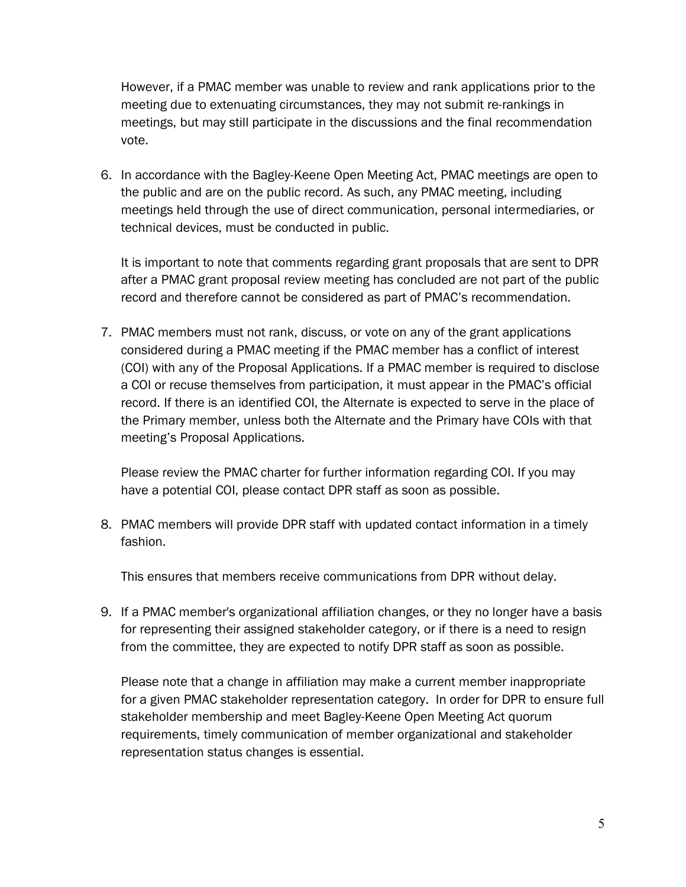However, if a PMAC member was unable to review and rank applications prior to the meeting due to extenuating circumstances, they may not submit re-rankings in meetings, but may still participate in the discussions and the final recommendation vote.

 6. In accordance with the Bagley-Keene Open Meeting Act, PMAC meetings are open to technical devices, must be conducted in public. the public and are on the public record. As such, any PMAC meeting, including meetings held through the use of direct communication, personal intermediaries, or

technical devices, must be conducted in public.<br>It is important to note that comments regarding grant proposals that are sent to DPR after a PMAC grant proposal review meeting has concluded are not part of the public record and therefore cannot be considered as part of PMAC's recommendation.

7. PMAC members must not rank, discuss, or vote on any of the grant applications considered during a PMAC meeting if the PMAC member has a conflict of interest (COI) with any of the Proposal Applications. If a PMAC member is required to disclose a COI or recuse themselves from participation, it must appear in the PMAC's official record. If there is an identified COI, the Alternate is expected to serve in the place of the Primary member, unless both the Alternate and the Primary have COIs with that meeting's Proposal Applications.

Please review the PMAC charter for further information regarding COI. If you may have a potential COI, please contact DPR staff as soon as possible.

 8. PMAC members will provide DPR staff with updated contact information in a timely fashion.

This ensures that members receive communications from DPR without delay.

 9. If a PMAC member's organizational affiliation changes, or they no longer have a basis for representing their assigned stakeholder category, or if there is a need to resign from the committee, they are expected to notify DPR staff as soon as possible.

Please note that a change in affiliation may make a current member inappropriate for a given PMAC stakeholder representation category. In order for DPR to ensure full stakeholder membership and meet Bagley-Keene Open Meeting Act quorum requirements, timely communication of member organizational and stakeholder representation status changes is essential.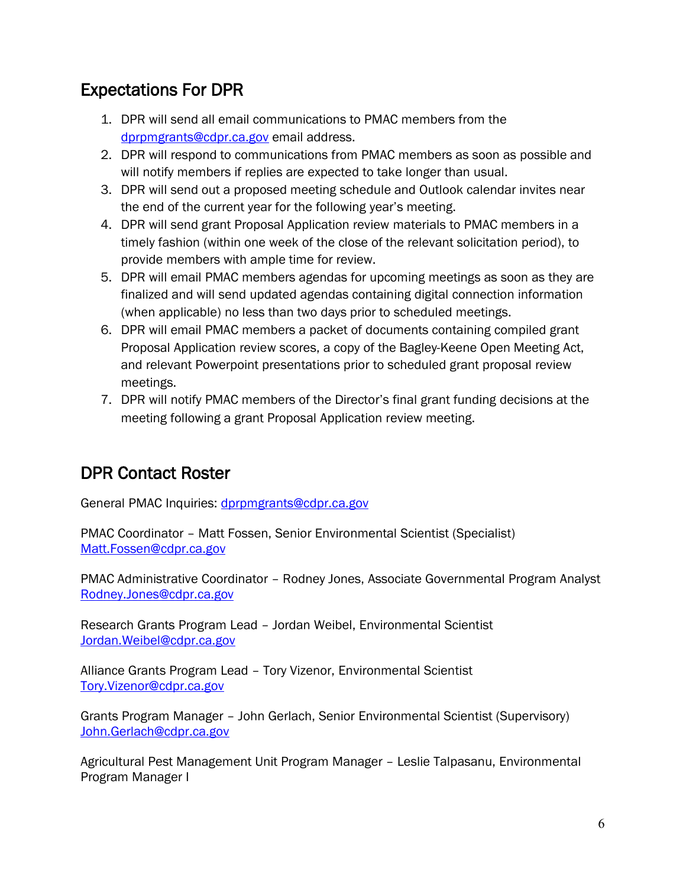### Expectations For DPR

- 1. DPR will send all email communications to PMAC members from the [dprpmgrants@cdpr.ca.gov](mailto:dprpmgrants@cdpr.ca.gov) email address.
- 2. DPR will respond to communications from PMAC members as soon as possible and will notify members if replies are expected to take longer than usual.
- 3. DPR will send out a proposed meeting schedule and Outlook calendar invites near the end of the current year for the following year's meeting.
- 4. DPR will send grant Proposal Application review materials to PMAC members in a timely fashion (within one week of the close of the relevant solicitation period), to provide members with ample time for review.
- 5. DPR will email PMAC members agendas for upcoming meetings as soon as they are finalized and will send updated agendas containing digital connection information (when applicable) no less than two days prior to scheduled meetings.
- 6. DPR will email PMAC members a packet of documents containing compiled grant Proposal Application review scores, a copy of the Bagley-Keene Open Meeting Act, and relevant Powerpoint presentations prior to scheduled grant proposal review meetings.
- 7. DPR will notify PMAC members of the Director's final grant funding decisions at the meeting following a grant Proposal Application review meeting.

### DPR Contact Roster

General PMAC Inquiries: [dprpmgrants@cdpr.ca.gov](mailto:dprpmgrants@cdpr.ca.gov) 

PMAC Coordinator – Matt Fossen, Senior Environmental Scientist (Specialist) [Matt.Fossen@cdpr.ca.gov](mailto:Matt.Fossen@cdpr.ca.gov) 

PMAC Administrative Coordinator – Rodney Jones, Associate Governmental Program Analyst [Rodney.Jones@cdpr.ca.gov](mailto:Rodney.Jones@cdpr.ca.gov) 

Research Grants Program Lead – Jordan Weibel, Environmental Scientist [Jordan.Weibel@cdpr.ca.gov](mailto:Jordan.Weibel@cdpr.ca.gov) 

Alliance Grants Program Lead – Tory Vizenor, Environmental Scientist [Tory.Vizenor@cdpr.ca.gov](mailto:Tory.Vizenor@cdpr.ca.gov) 

Grants Program Manager – John Gerlach, Senior Environmental Scientist (Supervisory) [John.Gerlach@cdpr.ca.gov](mailto:John.Gerlach@cdpr.ca.gov) 

Agricultural Pest Management Unit Program Manager – Leslie Talpasanu, Environmental Program Manager I